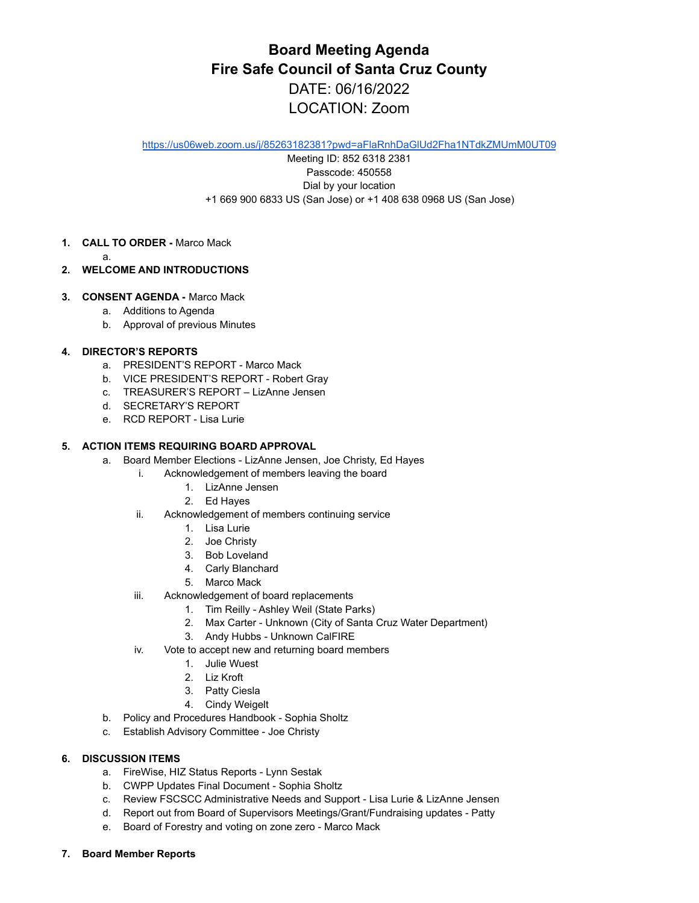# **Board Meeting Agenda Fire Safe Council of Santa Cruz County** DATE: 06/16/2022 LOCATION: Zoom

<https://us06web.zoom.us/j/85263182381?pwd=aFlaRnhDaGlUd2Fha1NTdkZMUmM0UT09>

Meeting ID: 852 6318 2381 Passcode: 450558 Dial by your location +1 669 900 6833 US (San Jose) or +1 408 638 0968 US (San Jose)

- **1. CALL TO ORDER -** Marco Mack
	- a.
- **2. WELCOME AND INTRODUCTIONS**
- **3. CONSENT AGENDA -** Marco Mack
	- a. Additions to Agenda
	- b. Approval of previous Minutes

## **4. DIRECTOR'S REPORTS**

- a. PRESIDENT'S REPORT Marco Mack
- b. VICE PRESIDENT'S REPORT Robert Gray
- c. TREASURER'S REPORT LizAnne Jensen
- d. SECRETARY'S REPORT
- e. RCD REPORT Lisa Lurie

#### **5. ACTION ITEMS REQUIRING BOARD APPROVAL**

- a. Board Member Elections LizAnne Jensen, Joe Christy, Ed Hayes
	- i. Acknowledgement of members leaving the board
		- 1. LizAnne Jensen
		- 2. Ed Hayes
	- ii. Acknowledgement of members continuing service
		- 1. Lisa Lurie
		- 2. Joe Christy
		- 3. Bob Loveland
		- 4. Carly Blanchard
		- 5. Marco Mack
	- iii. Acknowledgement of board replacements
		- 1. Tim Reilly Ashley Weil (State Parks)
		- 2. Max Carter Unknown (City of Santa Cruz Water Department)
		- 3. Andy Hubbs Unknown CalFIRE
	- iv. Vote to accept new and returning board members
		- 1. Julie Wuest
		- 2. Liz Kroft
		- 3. Patty Ciesla
		- 4. Cindy Weigelt
- b. Policy and Procedures Handbook Sophia Sholtz
- c. Establish Advisory Committee Joe Christy

## **6. DISCUSSION ITEMS**

- a. FireWise, HIZ Status Reports Lynn Sestak
- b. CWPP Updates Final Document Sophia Sholtz
- c. Review FSCSCC Administrative Needs and Support Lisa Lurie & LizAnne Jensen
- d. Report out from Board of Supervisors Meetings/Grant/Fundraising updates Patty
- e. Board of Forestry and voting on zone zero Marco Mack
- **7. Board Member Reports**